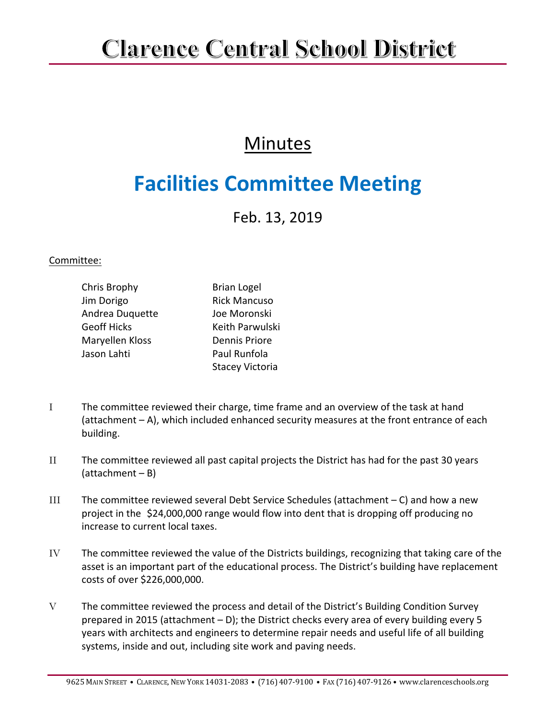## **Clarence Central School District**

## **Minutes**

## **Facilities Committee Meeting**

Feb. 13, 2019

## Committee:

| Chris Brophy       | <b>Brian Logel</b>     |
|--------------------|------------------------|
| Jim Dorigo         | <b>Rick Mancuso</b>    |
| Andrea Duquette    | Joe Moronski           |
| <b>Geoff Hicks</b> | Keith Parwulski        |
| Maryellen Kloss    | <b>Dennis Priore</b>   |
| Jason Lahti        | Paul Runfola           |
|                    | <b>Stacey Victoria</b> |

- I The committee reviewed their charge, time frame and an overview of the task at hand (attachment – A), which included enhanced security measures at the front entrance of each building.
- II The committee reviewed all past capital projects the District has had for the past 30 years (attachment – B)
- III The committee reviewed several Debt Service Schedules (attachment C) and how a new project in the \$24,000,000 range would flow into dent that is dropping off producing no increase to current local taxes.
- IV The committee reviewed the value of the Districts buildings, recognizing that taking care of the asset is an important part of the educational process. The District's building have replacement costs of over \$226,000,000.
- V The committee reviewed the process and detail of the District's Building Condition Survey prepared in 2015 (attachment – D); the District checks every area of every building every 5 years with architects and engineers to determine repair needs and useful life of all building systems, inside and out, including site work and paving needs.